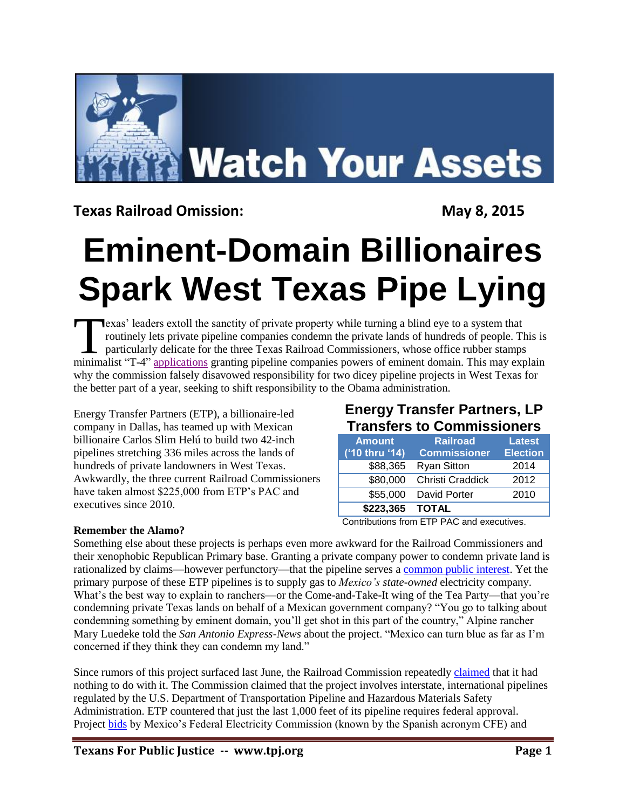

**Texas Railroad Omission:** May 8, 2015

# **Eminent-Domain Billionaires Spark West Texas Pipe Lying**

exas' leaders extoll the sanctity of private property while turning a blind eye to a system that routinely lets private pipeline companies condemn the private lands of hundreds of people. This is particularly delicate for the three Texas Railroad Commissioners, whose office rubber stamps **Exas'** leaders extoll the sanctity of private property while turning a blind eye to a system that routinely lets private pipeline companies condemn the private lands of hundreds of people. This is particularly delicate fo why the commission falsely disavowed responsibility for two dicey pipeline projects in West Texas for the better part of a year, seeking to shift responsibility to the Obama administration.

Energy Transfer Partners (ETP), a billionaire-led company in Dallas, has teamed up with Mexican billionaire Carlos Slim Helú to build two 42-inch pipelines stretching 336 miles across the lands of hundreds of private landowners in West Texas. Awkwardly, the three current Railroad Commissioners have taken almost \$225,000 from ETP's PAC and executives since 2010.

# **Energy Transfer Partners, LP Transfers to Commissioners**

| <b>Amount</b><br>('10 thru '14) | Railroad<br><b>Commissioner</b> | <b>Latest</b><br><b>Election</b> |
|---------------------------------|---------------------------------|----------------------------------|
| \$88,365                        | <b>Ryan Sitton</b>              | 2014                             |
| \$80,000                        | Christi Craddick                | 2012                             |
| \$55,000                        | David Porter                    | 2010                             |
| \$223,365                       | <b>TOTAL</b>                    |                                  |

Contributions from ETP PAC and executives.

### **Remember the Alamo?**

Something else about these projects is perhaps even more awkward for the Railroad Commissioners and their xenophobic Republican Primary base. Granting a private company power to condemn private land is rationalized by claims—however perfunctory—that the pipeline serves a [common public interest.](http://www.texastribune.org/2014/08/01/pipeline-proposal-revives-eminent-domain-debate/) Yet the primary purpose of these ETP pipelines is to supply gas to *Mexico's state-owned* electricity company. What's the best way to explain to ranchers—or the Come-and-Take-It wing of the Tea Party—that you're condemning private Texas lands on behalf of a Mexican government company? "You go to talking about condemning something by eminent domain, you'll get shot in this part of the country," Alpine rancher Mary Luedeke told the *San Antonio Express-News* about the project. "Mexico can turn blue as far as I'm concerned if they think they can condemn my land."

Since rumors of this project surfaced last June, the Railroad Commission repeatedly [claimed](http://bigbendnow.com/2014/11/mexico-announces-coyanosa-to-presidio-pipeline/) that it had nothing to do with it. The Commission claimed that the project involves interstate, international pipelines regulated by the U.S. Department of Transportation Pipeline and Hazardous Materials Safety Administration. ETP countered that just the last 1,000 feet of its pipeline requires federal approval. Project [bids](http://www.cfe.gob.mx/Proveedores/3_Licitacionesprincipales/SiteAssets/RequestforproposalWaha-Presidio.pdf) by Mexico's Federal Electricity Commission (known by the Spanish acronym CFE) and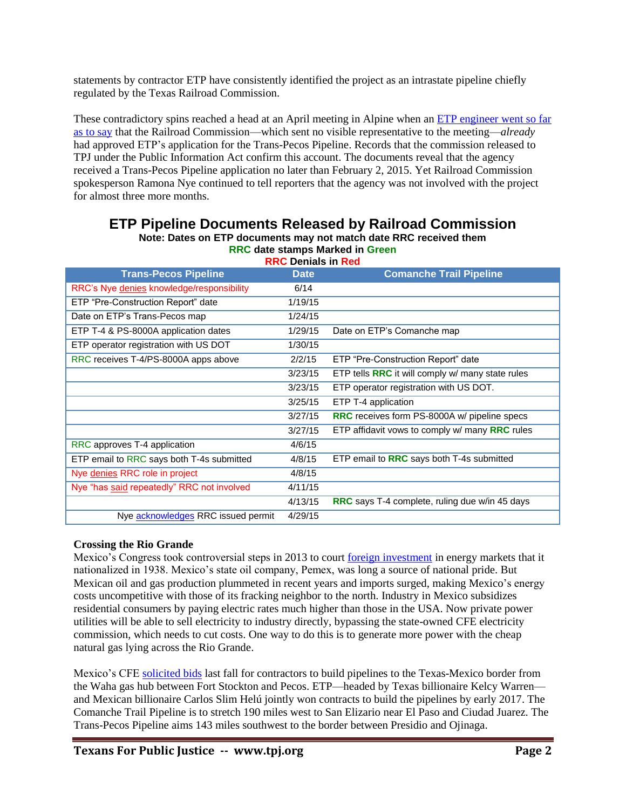statements by contractor ETP have consistently identified the project as an intrastate pipeline chiefly regulated by the Texas Railroad Commission.

These contradictory spins reached a head at an April meeting in Alpine when an [ETP engineer went so far](http://bigbendnow.com/2015/04/a-pipeline-runs-through-it/)  [as to say](http://bigbendnow.com/2015/04/a-pipeline-runs-through-it/) that the Railroad Commission—which sent no visible representative to the meeting—*already* had approved ETP's application for the Trans-Pecos Pipeline. Records that the commission released to TPJ under the Public Information Act confirm this account. The documents reveal that the agency received a Trans-Pecos Pipeline application no later than February 2, 2015. Yet Railroad Commission spokesperson Ramona Nye continued to tell reporters that the agency was not involved with the project for almost three more months.

| <b>RRC Denials in Red</b>                  |             |                                                       |  |  |
|--------------------------------------------|-------------|-------------------------------------------------------|--|--|
| <b>Trans-Pecos Pipeline</b>                | <b>Date</b> | <b>Comanche Trail Pipeline</b>                        |  |  |
| RRC's Nye denies knowledge/responsibility  | 6/14        |                                                       |  |  |
| ETP "Pre-Construction Report" date         | 1/19/15     |                                                       |  |  |
| Date on ETP's Trans-Pecos map              | 1/24/15     |                                                       |  |  |
| ETP T-4 & PS-8000A application dates       | 1/29/15     | Date on ETP's Comanche map                            |  |  |
| ETP operator registration with US DOT      | 1/30/15     |                                                       |  |  |
| RRC receives T-4/PS-8000A apps above       | 2/2/15      | ETP "Pre-Construction Report" date                    |  |  |
|                                            | 3/23/15     | ETP tells RRC it will comply w/ many state rules      |  |  |
|                                            | 3/23/15     | ETP operator registration with US DOT.                |  |  |
|                                            | 3/25/15     | ETP T-4 application                                   |  |  |
|                                            | 3/27/15     | RRC receives form PS-8000A w/ pipeline specs          |  |  |
|                                            | 3/27/15     | ETP affidavit vows to comply w/ many RRC rules        |  |  |
| RRC approves T-4 application               | 4/6/15      |                                                       |  |  |
| ETP email to RRC says both T-4s submitted  | 4/8/15      | ETP email to RRC says both T-4s submitted             |  |  |
| Nye denies RRC role in project             | 4/8/15      |                                                       |  |  |
| Nye "has said repeatedly" RRC not involved | 4/11/15     |                                                       |  |  |
|                                            | 4/13/15     | <b>RRC</b> says T-4 complete, ruling due w/in 45 days |  |  |
| Nye acknowledges RRC issued permit         | 4/29/15     |                                                       |  |  |

### **ETP Pipeline Documents Released by Railroad Commission Note: Dates on ETP documents may not match date RRC received them**

**RRC date stamps Marked in Green**

### **Crossing the Rio Grande**

Mexico's Congress took controversial steps in 2013 to court [foreign investment](http://www.ft.com/cms/s/0/e2242e2c-632e-11e3-886f-00144feabdc0.html#axzz3YoFBrQR1) in energy markets that it nationalized in 1938. Mexico's state oil company, Pemex, was long a source of national pride. But Mexican oil and gas production plummeted in recent years and imports surged, making Mexico's energy costs uncompetitive with those of its fracking neighbor to the north. Industry in Mexico subsidizes residential consumers by paying electric rates much higher than those in the USA. Now private power utilities will be able to sell electricity to industry directly, bypassing the state-owned CFE electricity commission, which needs to cut costs. One way to do this is to generate more power with the cheap natural gas lying across the Rio Grande.

Mexico's CFE [solicited bids](http://www.cfe.gob.mx/Proveedores/3_Licitacionesprincipales/SiteAssets/RequestforproposalWaha-Presidio.pdf) last fall for contractors to build pipelines to the Texas-Mexico border from the Waha gas hub between Fort Stockton and Pecos. ETP—headed by Texas billionaire Kelcy Warren and Mexican billionaire Carlos Slim Helú jointly won contracts to build the pipelines by early 2017. The Comanche Trail Pipeline is to stretch 190 miles west to San Elizario near El Paso and Ciudad Juarez. The Trans-Pecos Pipeline aims 143 miles southwest to the border between Presidio and Ojinaga.